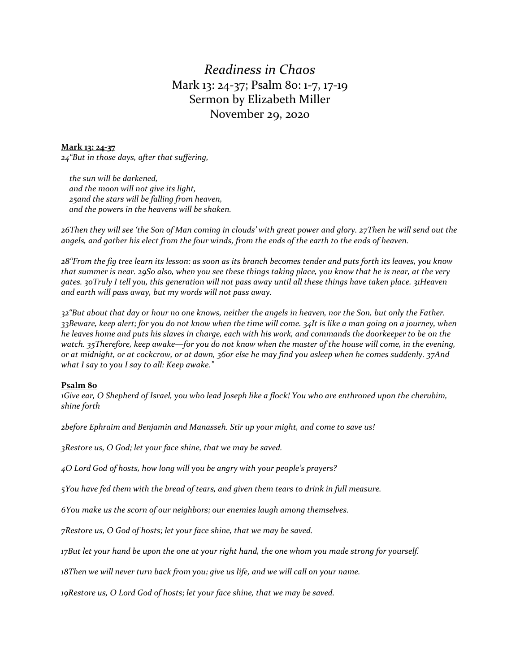## *Readiness in Chaos* Mark 13: 24-37; Psalm 80: 1-7, 17-19 Sermon by Elizabeth Miller November 29, 2020

## **Mark 13: 24-37**

*24"But in those days, after that suffering,*

 *the sun will be darkened, and the moon will not give its light, 25and the stars will be falling from heaven, and the powers in the heavens will be shaken.*

*26Then they will see 'the Son of Man coming in clouds' with great power and glory. 27Then he will send out the angels, and gather his elect from the four winds, from the ends of the earth to the ends of heaven.*

*28"From the fig tree learn its lesson: as soon as its branch becomes tender and puts forth its leaves, you know that summer is near. 29So also, when you see these things taking place, you know that he is near, at the very gates. 30Truly I tell you, this generation will not pass away until all these things have taken place. 31Heaven and earth will pass away, but my words will not pass away.*

*32"But about that day or hour no one knows, neither the angels in heaven, nor the Son, but only the Father. 33Beware, keep alert; for you do not know when the time will come. 34It is like a man going on a journey, when he leaves home and puts his slaves in charge, each with his work, and commands the doorkeeper to be on the watch. 35Therefore, keep awake—for you do not know when the master of the house will come, in the evening, or at midnight, or at cockcrow, or at dawn, 36or else he may find you asleep when he comes suddenly. 37And what I say to you I say to all: Keep awake."*

## **Psalm 80**

*1Give ear, O Shepherd of Israel, you who lead Joseph like a flock! You who are enthroned upon the cherubim, shine forth*

*2before Ephraim and Benjamin and Manasseh. Stir up your might, and come to save us!*

*3Restore us, O God; let your face shine, that we may be saved.*

*4O Lord God of hosts, how long will you be angry with your people's prayers?*

*5You have fed them with the bread of tears, and given them tears to drink in full measure.*

*6You make us the scorn of our neighbors; our enemies laugh among themselves.*

*7Restore us, O God of hosts; let your face shine, that we may be saved.*

*17But let your hand be upon the one at your right hand, the one whom you made strong for yourself.*

*18Then we will never turn back from you; give us life, and we will call on your name.*

*19Restore us, O Lord God of hosts; let your face shine, that we may be saved.*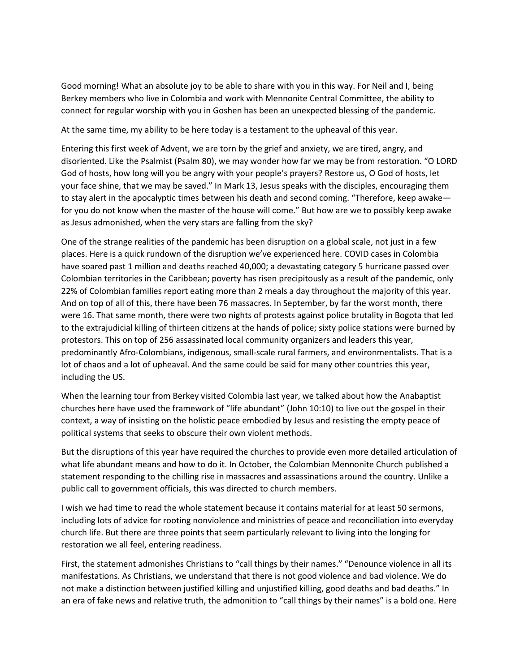Good morning! What an absolute joy to be able to share with you in this way. For Neil and I, being Berkey members who live in Colombia and work with Mennonite Central Committee, the ability to connect for regular worship with you in Goshen has been an unexpected blessing of the pandemic.

At the same time, my ability to be here today is a testament to the upheaval of this year.

Entering this first week of Advent, we are torn by the grief and anxiety, we are tired, angry, and disoriented. Like the Psalmist (Psalm 80), we may wonder how far we may be from restoration. "O LORD God of hosts, how long will you be angry with your people's prayers? Restore us, O God of hosts, let your face shine, that we may be saved." In Mark 13, Jesus speaks with the disciples, encouraging them to stay alert in the apocalyptic times between his death and second coming. "Therefore, keep awake for you do not know when the master of the house will come." But how are we to possibly keep awake as Jesus admonished, when the very stars are falling from the sky?

One of the strange realities of the pandemic has been disruption on a global scale, not just in a few places. Here is a quick rundown of the disruption we've experienced here. COVID cases in Colombia have soared past 1 million and deaths reached 40,000; a devastating category 5 hurricane passed over Colombian territories in the Caribbean; poverty has risen precipitously as a result of the pandemic, only 22% of Colombian families report eating more than 2 meals a day throughout the majority of this year. And on top of all of this, there have been 76 massacres. In September, by far the worst month, there were 16. That same month, there were two nights of protests against police brutality in Bogota that led to the extrajudicial killing of thirteen citizens at the hands of police; sixty police stations were burned by protestors. This on top of 256 assassinated local community organizers and leaders this year, predominantly Afro-Colombians, indigenous, small-scale rural farmers, and environmentalists. That is a lot of chaos and a lot of upheaval. And the same could be said for many other countries this year, including the US.

When the learning tour from Berkey visited Colombia last year, we talked about how the Anabaptist churches here have used the framework of "life abundant" (John 10:10) to live out the gospel in their context, a way of insisting on the holistic peace embodied by Jesus and resisting the empty peace of political systems that seeks to obscure their own violent methods.

But the disruptions of this year have required the churches to provide even more detailed articulation of what life abundant means and how to do it. In October, the Colombian Mennonite Church published a statement responding to the chilling rise in massacres and assassinations around the country. Unlike a public call to government officials, this was directed to church members.

I wish we had time to read the whole statement because it contains material for at least 50 sermons, including lots of advice for rooting nonviolence and ministries of peace and reconciliation into everyday church life. But there are three points that seem particularly relevant to living into the longing for restoration we all feel, entering readiness.

First, the statement admonishes Christians to "call things by their names." "Denounce violence in all its manifestations. As Christians, we understand that there is not good violence and bad violence. We do not make a distinction between justified killing and unjustified killing, good deaths and bad deaths." In an era of fake news and relative truth, the admonition to "call things by their names" is a bold one. Here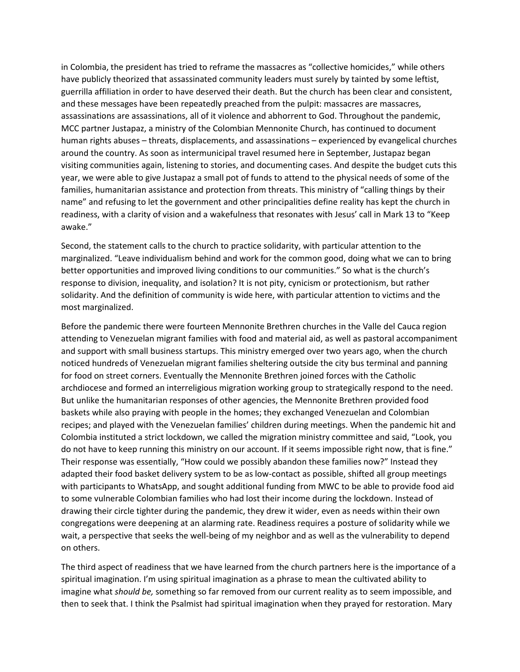in Colombia, the president has tried to reframe the massacres as "collective homicides," while others have publicly theorized that assassinated community leaders must surely by tainted by some leftist, guerrilla affiliation in order to have deserved their death. But the church has been clear and consistent, and these messages have been repeatedly preached from the pulpit: massacres are massacres, assassinations are assassinations, all of it violence and abhorrent to God. Throughout the pandemic, MCC partner Justapaz, a ministry of the Colombian Mennonite Church, has continued to document human rights abuses – threats, displacements, and assassinations – experienced by evangelical churches around the country. As soon as intermunicipal travel resumed here in September, Justapaz began visiting communities again, listening to stories, and documenting cases. And despite the budget cuts this year, we were able to give Justapaz a small pot of funds to attend to the physical needs of some of the families, humanitarian assistance and protection from threats. This ministry of "calling things by their name" and refusing to let the government and other principalities define reality has kept the church in readiness, with a clarity of vision and a wakefulness that resonates with Jesus' call in Mark 13 to "Keep awake."

Second, the statement calls to the church to practice solidarity, with particular attention to the marginalized. "Leave individualism behind and work for the common good, doing what we can to bring better opportunities and improved living conditions to our communities." So what is the church's response to division, inequality, and isolation? It is not pity, cynicism or protectionism, but rather solidarity. And the definition of community is wide here, with particular attention to victims and the most marginalized.

Before the pandemic there were fourteen Mennonite Brethren churches in the Valle del Cauca region attending to Venezuelan migrant families with food and material aid, as well as pastoral accompaniment and support with small business startups. This ministry emerged over two years ago, when the church noticed hundreds of Venezuelan migrant families sheltering outside the city bus terminal and panning for food on street corners. Eventually the Mennonite Brethren joined forces with the Catholic archdiocese and formed an interreligious migration working group to strategically respond to the need. But unlike the humanitarian responses of other agencies, the Mennonite Brethren provided food baskets while also praying with people in the homes; they exchanged Venezuelan and Colombian recipes; and played with the Venezuelan families' children during meetings. When the pandemic hit and Colombia instituted a strict lockdown, we called the migration ministry committee and said, "Look, you do not have to keep running this ministry on our account. If it seems impossible right now, that is fine." Their response was essentially, "How could we possibly abandon these families now?" Instead they adapted their food basket delivery system to be as low-contact as possible, shifted all group meetings with participants to WhatsApp, and sought additional funding from MWC to be able to provide food aid to some vulnerable Colombian families who had lost their income during the lockdown. Instead of drawing their circle tighter during the pandemic, they drew it wider, even as needs within their own congregations were deepening at an alarming rate. Readiness requires a posture of solidarity while we wait, a perspective that seeks the well-being of my neighbor and as well as the vulnerability to depend on others.

The third aspect of readiness that we have learned from the church partners here is the importance of a spiritual imagination. I'm using spiritual imagination as a phrase to mean the cultivated ability to imagine what *should be,* something so far removed from our current reality as to seem impossible, and then to seek that. I think the Psalmist had spiritual imagination when they prayed for restoration. Mary